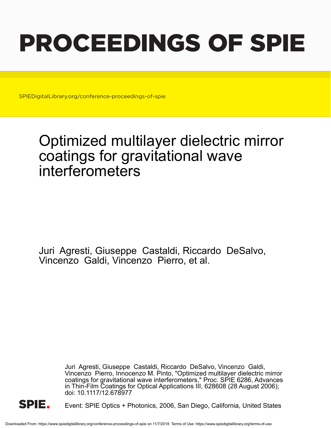# PROCEEDINGS OF SPIE

SPIEDigitalLibrary.org/conference-proceedings-of-spie

## Optimized multilayer dielectric mirror coatings for gravitational wave interferometers

Juri Agresti, Giuseppe Castaldi, Riccardo DeSalvo, Vincenzo Galdi, Vincenzo Pierro, et al.

> Juri Agresti, Giuseppe Castaldi, Riccardo DeSalvo, Vincenzo Galdi, Vincenzo Pierro, Innocenzo M. Pinto, "Optimized multilayer dielectric mirror coatings for gravitational wave interferometers," Proc. SPIE 6286, Advances in Thin-Film Coatings for Optical Applications III, 628608 (28 August 2006); doi: 10.1117/12.678977



Event: SPIE Optics + Photonics, 2006, San Diego, California, United States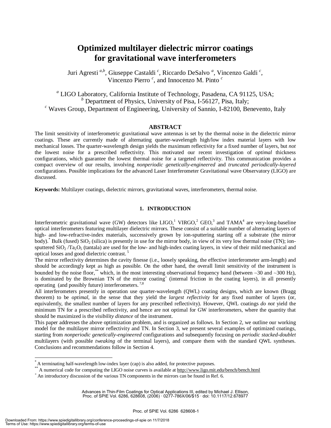### **Optimized multilayer dielectric mirror coatings for gravitational wave interferometers**

Juri Agresti<sup>a,b</sup>, Giuseppe Castaldi<sup>c</sup>, Riccardo DeSalvo<sup>a</sup>, Vincenzo Galdi<sup>c</sup>, Vincenzo Pierro *<sup>c</sup>* , and Innocenzo M. Pinto *<sup>c</sup>*

*a* LIGO Laboratory, California Institute of Technology, Pasadena, CA 91125, USA; <sup>*b*</sup> Department of Physics, University of Pisa, I-56127, Pisa, Italy;<br><sup>*c*</sup> Waves Group Department of Engineering, University of Sannia, L82100, Be  $\epsilon$  Waves Group, Department of Engineering, University of Sannio, I-82100, Benevento, Italy

#### **ABSTRACT**

The limit sensitivity of interferometric gravitational wave antennas is set by the thermal noise in the dielectric mirror coatings. These are currently made of alternating quarter-wavelength high/low index material layers with low mechanical losses. The quarter-wavelength design yields the maximum reflectivity for a fixed number of layers, but *not* the lowest noise for a prescribed reflectivity. This motivated our recent investigation of *optimal* thickness configurations, which guarantee the lowest thermal noise for a targeted reflectivity. This communication provides a compact overview of our results, involving *nonperiodic genetically-engineered* and *truncated periodically-layered* configurations. Possible implications for the advanced Laser Interferometer Gravitational wave Observatory (LIGO) are discussed.

**Keywords:** Multilayer coatings, dielectric mirrors, gravitational waves, interferometers, thermal noise.

#### **1. INTRODUCTION**

Interferometric gravitational wave (GW) detectors like LIGO,<sup>1</sup> VIRGO,<sup>2</sup> GEO,<sup>3</sup> and TAMA<sup>4</sup> are very-long-baseline optical interferometers featuring multilayer dielectric mirrors. These consist of a suitable number of alternating layers of high- and low-refractive-index materials, successively grown by ion-sputtering starting off a substrate (the mirror body). Bulk (fused)  $SiO<sub>2</sub>$  (silica) is presently in use for the mirror body, in view of its very low thermal noise (TN); ionsputtered  $SiO<sub>2</sub>/Ta<sub>2</sub>O<sub>5</sub>$  (tantala) are used for the low- and high-index coating layers, in view of their mild mechanical and optical losses and good dielectric contrast. 5

The mirror reflectivity determines the cavity finesse (i.e., loosely speaking, the effective interferometer arm-length) and should be accordingly kept as high as possible. On the other hand, the overall limit sensitivity of the instrument is bounded by the noise floor,\*\* which, in the most interesting observational frequency band (between ∼30 and ∼300 Hz), is dominated by the Brownian TN of the mirror coating<sup>+</sup> (internal friction in the coating layers), in all presently operating (and possibly future) interferometers.<sup>7,8</sup>

All interferometers presently in operation use quarter-wavelength (QWL) coating designs, which are known (Bragg theorem) to be *optimal*, in the sense that they yield the *largest reflectivity* for any fixed number of layers (or, equivalently, the smallest number of layers for any prescribed reflectivity). However, QWL coatings *do not* yield the minimum TN for a prescribed reflectivity, and hence are not optimal for GW interferometers, where the quantity that should be maximized is the *visibility distance* of the instrument.

This paper addresses the above optimization problem, and is organized as follows. In Section 2, we outline our working model for the multilayer mirror reflectivity and TN. In Section 3, we present several examples of optimized coatings, starting from *nonperiodic genetically-engineered* configurations and subsequently focusing on *periodic stacked-doublet* multilayers (with possible *tweaking* of the terminal layers), and compare them with the standard QWL syntheses. Conclusions and recommendations follow in Section 4.

 $\overline{a}$ 

A terminating half-wavelength low-index layer (cap) is also added, for protective purposes.

<sup>\*\*</sup> A numerical code for computing the LIGO noise curves is available at http://www.ligo.mit.edu/bench/bench.html  $+$  An introductory discussion of the various TN components in the mirrors can be found in Ref. 6.

Advances in Thin-Film Coatings for Optical Applications III, edited by Michael J. Ellison, Proc. of SPIE Vol. 6286, 628608, (2006) · 0277-786X/06/\$15 · doi: 10.1117/12.678977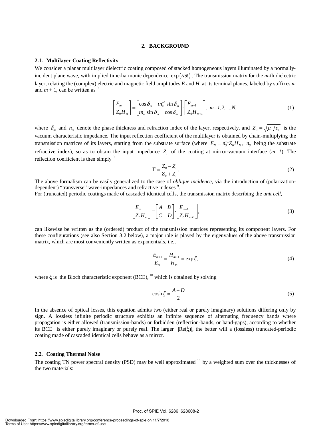#### **2. BACKGROUND**

#### **2.1. Multilayer Coating Reflectivity**

We consider a planar multilayer dielectric coating composed of stacked homogeneous layers illuminated by a normallyincident plane wave, with implied time-harmonic dependence  $\exp(i\omega t)$ . The transmission matrix for the *m*-th dielectric layer, relating the (complex) electric and magnetic field amplitudes *E* and *H* at its terminal planes, labeled by suffixes *m* and  $m + 1$ , can be written as <sup>9</sup>

$$
\begin{bmatrix} E_m \\ Z_0 H_m \end{bmatrix} = \begin{bmatrix} \cos \delta_m & n_m^{-1} \sin \delta_m \\ n_m \sin \delta_m & \cos \delta_m \end{bmatrix} \cdot \begin{bmatrix} E_{m+1} \\ Z_0 H_{m+1} \end{bmatrix}, \ m = 1, 2, ..., N,
$$
 (1)

where  $\delta_m$  and  $n_m$  denote the phase thickness and refraction index of the layer, respectively, and  $Z_0 = \sqrt{\mu_0/\epsilon_0}$  is the vacuum characteristic impedance. The input reflection coefficient of the multilayer is obtained by chain-multiplying the transmission matrices of its layers, starting from the substrate surface (where  $E_y = n_s^{-1} Z_0 H_y$ ,  $n_s$  being the substrate refractive index), so as to obtain the input impedance  $Z_i$  of the coating at mirror-vacuum interface  $(m=1)$ . The reflection coefficient is then simply <sup>9</sup>

$$
\Gamma = \frac{Z_0 - Z_i}{Z_0 + Z_i}.\tag{2}
$$

The above formalism can be easily generalized to the case of *oblique incidence*, via the introduction of (polarizationdependent) "transverse" wave-impedances and refractive indexes<sup>9</sup>.

For (truncated) periodic coatings made of cascaded identical cells, the transmission matrix describing the *unit cell*,

$$
\begin{bmatrix} E_m \\ Z_0 H_m \end{bmatrix} = \begin{bmatrix} A & B \\ C & D \end{bmatrix} \begin{bmatrix} E_{m+1} \\ Z_0 H_{m+1} \end{bmatrix},
$$
\n(3)

can likewise be written as the (ordered) product of the transmission matrices representing its component layers. For these configurations (see also Section 3.2 below), a major role is played by the eigenvalues of the above transmission matrix, which are most conveniently written as exponentials, i.e.,

$$
\frac{E_{m+1}}{E_m} = \frac{H_{m+1}}{H_m} = \exp \xi,
$$
\n(4)

where  $\xi$  is the Bloch characteristic exponent (BCE), <sup>10</sup> which is obtained by solving

$$
\cosh \xi = \frac{A+D}{2}.\tag{5}
$$

In the absence of optical losses, this equation admits two (either real or purely imaginary) solutions differing only by sign. A lossless infinite periodic structure exhibits an infinite sequence of alternating frequency bands where propagation is either allowed (transmission-bands) or forbidden (reflection-bands, or band-gaps), according to whether its BCE is either purely imaginary or purely real. The larger  $|Re(\xi)|$ , the better will a (lossless) truncated-periodic coating made of cascaded identical cells behave as a mirror.

#### **2.2. Coating Thermal Noise**

The coating TN power spectral density (PSD) may be well approximated  $11$  by a weighted sum over the thicknesses of the two materials: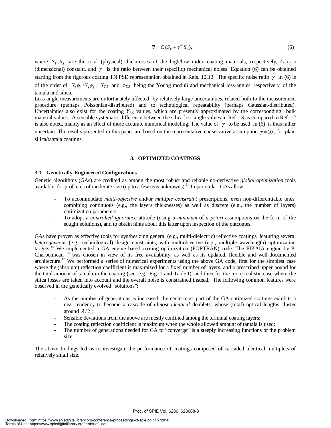$$
\overline{v} = C \left( S_T + \gamma^{-1} S_S \right),\tag{6}
$$

where  $S_T$ ,  $S_S$  are the total (physical) thicknesses of the high/low index coating materials, respectively, *C* is a (dimensional) constant, and  $\gamma$  is the ratio between their (specific) mechanical noises. Equation (6) can be obtained starting from the rigorous coating TN PSD representation obtained in Refs. 12,13. The specific noise ratio  $\gamma$  in (6) is of the order of  $Y_T \phi_T / Y_S \phi_S$ ,  $Y_{T,S}$  and  $\phi_{T,S}$  being the Young moduli and mechanical loss-angles, respectively, of the tantala and silica.

Loss angle measurements are unfortunately affected by relatively large uncertainties, related both to the measurement procedure (perhaps Poissonian-distributed) and to technological repeatability (perhaps Gaussian-distributed). Uncertainties also exist for the coating *Y<sub>T,S</sub>* values, which are presently approximated by the corresponding bulk material values. A sensible systematic difference between the silica loss angle values in Ref. 13 as compared to Ref. 12 is also noted, mainly as an effect of more accurate numerical modeling. The value of  $\gamma$  to be used in (6) is thus rather uncertain. The results presented in this paper are based on the representative conservative assumption  $\gamma = 10$ , for plain silica/tantala coatings.

#### **3. OPTIMIZED COATINGS**

#### **3.1. Genetically-Engineered Configurations**

Genetic algorithms (GAs) are credited as among the most robust and reliable no-derivative *global-optimization* tools available, for problems of moderate size (up to a few tens unknowns).14 In particular, GAs allow:

- To accommodate *multi-objective* and/or *multiple constraint* prescriptions, even non-differentiable ones, combining continuous (e.g., the layers thicknesses) as well as discrete (e.g., the number of layers) optimization parameters;
- To adopt a *controlled ignorance* attitude (using *a minimum* of *a priori* assumptions on the form of the sought solutions), and to obtain hints about this latter upon inspection of the outcomes.

GAs have proven as effective tools for synthesizing general (e.g., multi-dielectric) reflective coatings, featuring several *heterogeneous* (e.g., technological) design constraints, with multiobjective (e.g., multiple wavelength) optimization targets.15 We implemented a GA engine based coating optimization (FORTRAN) code. The PIKAIA engine by P. Charbonneau 16 was chosen in view of its free availability, as well as its updated, flexible and well-documented architecture.<sup>17</sup> We performed a series of numerical experiments using the above GA code, first for the simplest case where the (absolute) reflection coefficient is maximized for a fixed number of layers, and a prescribed upper bound for the total amount of tantala in the coating (see, e.g., Fig. 1 and Table I), and then for the more realistic case where the silica losses are taken into account and the overall noise is constrained instead. The following common features were observed in the genetically evolved "solutions":

- As the number of generations is increased, the centermost part of the GA-optimized coatings exhibits a neat tendency to become a cascade of *almost identical* doublets, whose (total) optical lengths cluster around  $\lambda/2$ ;
- Sensible deviations from the above are mostly confined among the terminal coating layers;
- The coating reflection coefficient is maximum when the whole allowed amount of tantala is used;
- The number of generations needed for GA to "converge" is a steeply increasing functions of the problem size.

The above findings led us to investigate the performance of coatings composed of cascaded identical multiplets of relatively small size.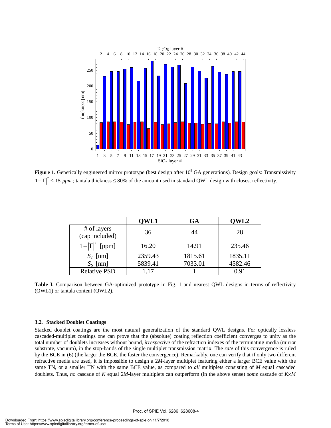

**Figure 1.** Genetically engineered mirror prototype (best design after  $10^5$  GA generations). Design goals: Transmissivity  $1 \times 10^{2} \le 25$  $1 - |\Gamma|^2 \le 15$  ppm; tantala thickness  $\le 80\%$  of the amount used in standard QWL design with closest reflectivity.

|                               | QWL1    | GA      | QWL2    |
|-------------------------------|---------|---------|---------|
| # of layers<br>(cap included) | 36      | 44      | 28      |
| $1- \Gamma ^2$ [ppm]          | 16.20   | 14.91   | 235.46  |
| $S_T$ [nm]                    | 2359.43 | 1815.61 | 1835.11 |
| $S_S$ [nm]                    | 5839.41 | 7033.01 | 4582.46 |
| <b>Relative PSD</b>           | 1.17    |         | 0.91    |

**Table I.** Comparison between GA-optimized prototype in Fig. 1 and nearest QWL designs in terms of reflectivity (QWL1) or tantala content (QWL2).

#### **3.2. Stacked Doublet Coatings**

Stacked doublet coatings are the most natural generalization of the standard QWL designs. For optically lossless cascaded-multiplet coatings one can prove that the (absolute) coating reflection coefficient converges to unity as the total number of doublets increases without bound, *irrespective* of the refraction indexes of the terminating media (mirror substrate, vacuum), in the stop-bands of the single multiplet transmission matrix. The *rate* of this convergence is ruled by the BCE in (6) (the larger the BCE, the faster the convergence). Remarkably, one can verify that if only two different refractive media are used, it is impossible to design a 2*M*-layer multiplet featuring either a larger BCE value with the same TN, or a smaller TN with the same BCE value, as compared to *all* multiplets consisting of *M* equal cascaded doublets. Thus, *no* cascade of *K* equal 2*M*-layer multiplets can outperform (in the above sense) *some* cascade of *K*×*M*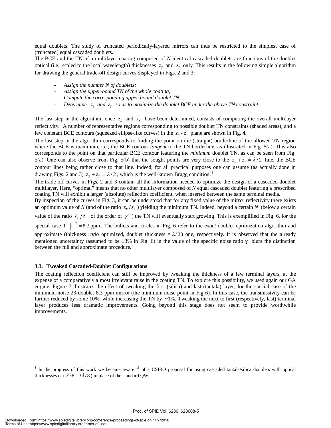equal doublets. The study of truncated periodically-layered mirrors can thus be restricted to the simplest case of (truncated) equal cascaded doublets.

The BCE and the TN of a multilayer coating composed of *N* identical cascaded doublets are functions of the doublet optical (i.e., scaled to the local wavelength) thicknesses  $z_s$  and  $z_t$  only. This results in the following simple algorithm for drawing the general trade-off design curves displayed in Figs. 2 and 3:

- *Assign the number N of doublets;*
- *Assign the upper-bound TN of the whole coating;*
- Compute the corresponding upper-bound doublet TN;
- Determine  $z_s$  and  $z_r$  so as to maximize the doublet BCE under the above TN constraint.

The last step in the algorithm, once  $z_s$  and  $z_r$  have been determined, consists of computing the overall multilayer reflectivity. A number of representative regions corresponding to possible doublet TN constraints (shaded areas), and a few constant BCE contours (squeezed ellipse-like curves) in the  $z_s - z_r$  plane are shown in Fig. 4.

The last step in the algorithm corresponds to finding the point on the (straight) borderline of the allowed TN region where the BCE is maximum, i.e., the BCE contour *tangent* to the TN borderline, as illustrated in Fig. 5(a). This also corresponds to the point on that particular BCE contour featuring the *minimum* doublet TN, as can be seen from Fig. 5(a). One can also observe from Fig. 5(b) that the sought points are very close to the  $z_s + z_r = \lambda/2$  line, the BCE contour lines being rather close to that line. Indeed, for all practical purposes one can assume (as actually done in drawing Figs. 2 and 3)  $z_s + z_t = \lambda/2$ , which is the well-known Bragg condition.<sup>†</sup>

The trade off curves in Figs. 2 and 3 contain all the information needed to optimize the design of a cascaded-doublet multilayer. Here, "optimal" means that no other multilayer composed of *N* equal cascaded doublet featuring a prescribed coating TN will exhibit a larger (absolute) reflection coefficient, when inserted between the same terminal media.

By inspection of the curves in Fig. 3, it can be understood that for any fixed value of the mirror reflectivity there exists an optimum value of *N* (and of the ratio  $z_T/z_s$ ) yielding the minimum TN. Indeed, beyond a certain *N* (below a certain value of the ratio  $z_T/z_s$  of the order of  $\gamma^{-1}$ ) the TN will eventually start growing. This is exemplified in Fig. 6, for the special case  $1-|\Gamma|^2 = 8.3$  ppm. The bullets and circles in Fig. 6 refer to the *exact* doublet optimization algorithm and approximate (thickness *ratio* optimized, doublet thickness  $= \lambda/2$ ) one, respectively. It is observed that the already mentioned uncertainty (assumed to be  $\pm 3\%$  in Fig. 6) in the value of the specific noise ratio  $\gamma$  blurs the distinction between the full and approximate procedure.

#### **3.3. Tweaked Cascaded-Doublet Configurations**

The coating reflection coefficient can still be improved by tweaking the thickness of a few terminal layers, at the expense of a comparatively almost irrelevant raise in the coating TN. To explore this possibility, we used again our GA engine. Figure 7 illustrates the effect of tweaking the first (silica) and last (tantala) layer, for the special case of the minimum-noise 23-doublet 8.3 ppm mirror (the minimum noise point in Fig 6). In this case, the transmissivity can be further reduced by some 10%, while increasing the TN by  $\sim$ 1%. Tweaking the next to first (respectively, last) terminal layer produces less dramatic improvements. Going beyond this stage does not seem to provide worthwhile improvements.

<sup>&</sup>lt;sup>†</sup> In the progress of this work we became aware <sup>18</sup> of a CSIRO proposal for using cascaded tantala/silica doublets with optical thicknesses of ( $\lambda/8$ ,  $3\lambda/8$ ) in place of the standard QWL.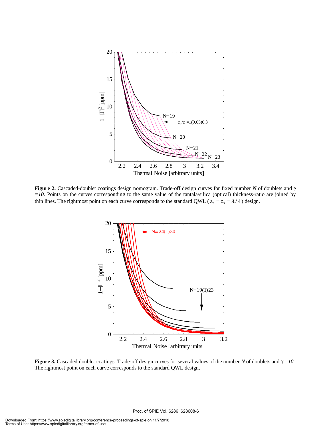

**Figure 2.** Cascaded-doublet coatings design nomogram. Trade-off design curves for fixed number *N* of doublets and γ *=10*. Points on the curves corresponding to the same value of the tantala/silica (optical) thickness-ratio are joined by thin lines. The rightmost point on each curve corresponds to the standard QWL ( $z_r = z_s = \lambda/4$ ) design.



**Figure 3.** Cascaded doublet coatings. Trade-off design curves for several values of the number *N* of doublets and γ *=10*. The rightmost point on each curve corresponds to the standard QWL design.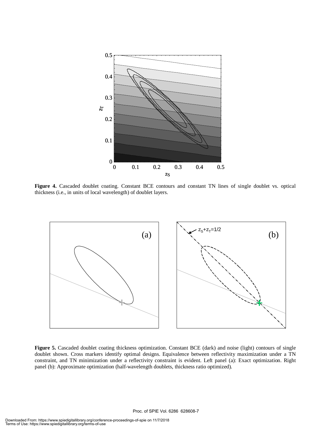

**Figure 4.** Cascaded doublet coating. Constant BCE contours and constant TN lines of single doublet vs. optical thickness (i.e., in units of local wavelength) of doublet layers.



**Figure 5.** Cascaded doublet coating thickness optimization. Constant BCE (dark) and noise (light) contours of single doublet shown. Cross markers identify optimal designs. Equivalence between reflectivity maximization under a TN constraint, and TN minimization under a reflectivity constraint is evident. Left panel (a): Exact optimization. Right panel (b): Approximate optimization (half-wavelength doublets, thickness ratio optimized).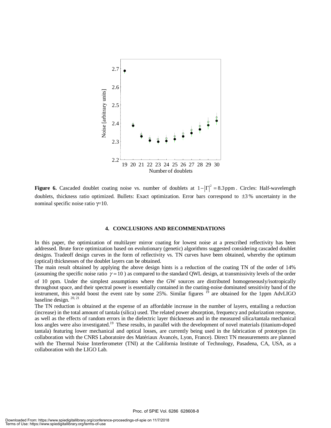

**Figure 6.** Cascaded doublet coating noise vs. number of doublets at  $1 - |\Gamma|^2 = 8.3$  ppm. Circles: Half-wavelength doublets, thickness ratio optimized. Bullets: Exact optimization. Error bars correspond to ±3 % uncertainty in the nominal specific noise ratio  $γ=10$ .

#### **4. CONCLUSIONS AND RECOMMENDATIONS**

In this paper, the optimization of multilayer mirror coating for lowest noise at a prescribed reflectivity has been addressed. Brute force optimization based on evolutionary (genetic) algorithms suggested considering cascaded doublet designs. Tradeoff design curves in the form of reflectivity vs. TN curves have been obtained, whereby the optimum (optical) thicknesses of the doublet layers can be obtained.

The main result obtained by applying the above design hints is a reduction of the coating TN of the order of 14% (assuming the specific noise ratio  $\gamma = 10$ ) as compared to the standard QWL design, at transmissivity levels of the order of 10 ppm. Under the simplest assumptions where the GW sources are distributed homogeneously/isotropically throughout space, and their spectral power is essentially contained in the coating-noise dominated sensitivity band of the instrument, this would boost the event rate by some 25%. Similar figures <sup>19</sup> are obtained for the 1ppm AdvLIGO baseline design. 20, 21

The TN reduction is obtained at the expense of an affordable increase in the number of layers, entailing a reduction (increase) in the total amount of tantala (silica) used. The related power absorption, frequency and polarization response, as well as the effects of random errors in the dielectric layer thicknesses and in the measured silica/tantala mechanical loss angles were also investigated.<sup>19</sup> These results, in parallel with the development of novel materials (titanium-doped tantala) featuring lower mechanical and optical losses, are currently being used in the fabrication of prototypes (in collaboration with the CNRS Laboratoire des Matériaux Avancés, Lyon, France). Direct TN measurements are planned with the Thermal Noise Interferometer (TNI) at the California Institute of Technology, Pasadena, CA, USA, as a collaboration with the LIGO Lab.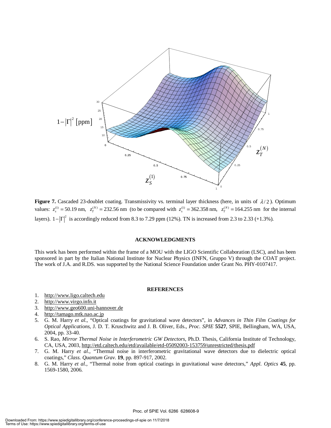

**Figure 7.** Cascaded 23-doublet coating. Transmissivity vs. terminal layer thickness (here, in units of  $\lambda/2$ ). Optimum values:  $z_s^{(1)} = 50.19$  nm,  $z_T^{(N)} = 232.56$  nm (to be compared with  $z_s^{(1)} = 362.358$  nm,  $z_T^{(N)} = 164.255$  nm for the internal layers).  $1-|\Gamma|^2$  is accordingly reduced from 8.3 to 7.29 ppm (12%). TN is increased from 2.3 to 2.33 (+1.3%).

#### **ACKNOWLEDGMENTS**

This work has been performed within the frame of a MOU with the LIGO Scientific Collaboration (LSC), and has been sponsored in part by the Italian National Institute for Nuclear Physics (INFN, Gruppo V) through the COAT project. The work of J.A. and R.DS. was supported by the National Science Foundation under Grant No. PHY-0107417.

#### **REFERENCES**

- 1. http://www.ligo.caltech.edu
- 2. http://www.virgo.infn.it
- 3. http://www.geo600.uni-hannover.de
- 4. http://tamago.mtk.nao.ac.jp
- 5. G. M. Harry *et al.*, "Optical coatings for gravitational wave detectors", in *Advances in Thin Film Coatings for Optical Applications,* J. D. T. Kruschwitz and J. B. Oliver, Eds., *Proc. SPIE* **5527**, SPIE, Bellingham, WA, USA, 2004, pp. 33-40.
- 6. S. Rao, *Mirror Thermal Noise in Interferometric GW Detectors*, Ph.D. Thesis, California Institute of Technology, CA, USA, 2003, http://etd.caltech.edu/etd/available/etd-05092003-153759/unrestricted/thesis.pdf
- 7. G. M. Harry *et al.*, "Thermal noise in interferometric gravitational wave detectors due to dielectric optical coatings," *Class. Quantum Grav.* **19**, pp. 897-917, 2002.
- 8. G. M. Harry *et al.*, "Thermal noise from optical coatings in gravitational wave detectors," *Appl. Optics* **45**, pp. 1569-1580, 2006.